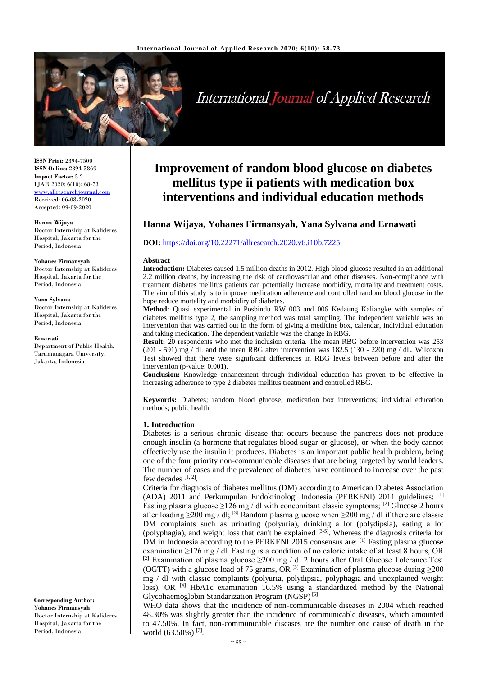

# **International Journal of Applied Research**

**ISSN Print:** 2394-7500 **ISSN Online:** 2394-5869 **Impact Factor:** 5.2 IJAR 2020; 6(10): 68-73 [www.allresearchjournal.com](http://www.allresearchjournal.com/) Received: 06-08-2020 Accepted: 09-09-2020

#### **Hanna Wijaya**

Doctor Internship at Kalideres Hospital, Jakarta for the Period, Indonesia

#### **Yohanes Firmansyah**

Doctor Internship at Kalideres Hospital, Jakarta for the Period, Indonesia

#### **Yana Sylvana**

Doctor Internship at Kalideres Hospital, Jakarta for the Period, Indonesia

#### **Ernawati**

Department of Public Health, Tarumanagara University, Jakarta, Indonesia

**Corresponding Author: Yohanes Firmansyah** Doctor Internship at Kalideres Hospital, Jakarta for the Period, Indonesia

# **Improvement of random blood glucose on diabetes mellitus type ii patients with medication box interventions and individual education methods**

# **Hanna Wijaya, Yohanes Firmansyah, Yana Sylvana and Ernawati**

# **DOI:** <https://doi.org/10.22271/allresearch.2020.v6.i10b.7225>

#### **Abstract**

**Introduction:** Diabetes caused 1.5 million deaths in 2012. High blood glucose resulted in an additional 2.2 million deaths, by increasing the risk of cardiovascular and other diseases. Non-compliance with treatment diabetes mellitus patients can potentially increase morbidity, mortality and treatment costs. The aim of this study is to improve medication adherence and controlled random blood glucose in the hope reduce mortality and morbidiry of diabetes.

**Method:** Quasi experimental in Posbindu RW 003 and 006 Kedaung Kaliangke with samples of diabetes mellitus type 2, the sampling method was total sampling. The independent variable was an intervention that was carried out in the form of giving a medicine box, calendar, individual education and taking medication. The dependent variable was the change in RBG.

**Result:** 20 respondents who met the inclusion criteria. The mean RBG before intervention was 253 (201 - 591)  $\text{mg}/d\text{L}$  and the mean RBG after intervention was 182.5 (130 - 220) mg /dL. Wilcoxon Test showed that there were significant differences in RBG levels between before and after the intervention (p-value: 0.001).

**Conclusion:** Knowledge enhancement through individual education has proven to be effective in increasing adherence to type 2 diabetes mellitus treatment and controlled RBG.

**Keywords:** Diabetes; random blood glucose; medication box interventions; individual education methods; public health

# **1. Introduction**

Diabetes is a serious chronic disease that occurs because the pancreas does not produce enough insulin (a hormone that regulates blood sugar or glucose), or when the body cannot effectively use the insulin it produces. Diabetes is an important public health problem, being one of the four priority non-communicable diseases that are being targeted by world leaders. The number of cases and the prevalence of diabetes have continued to increase over the past few decades  $[1, 2]$ .

Criteria for diagnosis of diabetes mellitus (DM) according to American Diabetes Association (ADA) 2011 and Perkumpulan Endokrinologi Indonesia (PERKENI) 2011 guidelines: [1] Fasting plasma glucose  $\geq$ 126 mg / dl with concomitant classic symptoms; <sup>[2]</sup> Glucose 2 hours after loading  $\geq$ 200 mg / dl; <sup>[3]</sup> Random plasma glucose when  $\geq$ 200 mg / dl if there are classic DM complaints such as urinating (polyuria), drinking a lot (polydipsia), eating a lot (polyphagia), and weight loss that can't be explained  $[3-5]$ . Whereas the diagnosis criteria for DM in Indonesia according to the PERKENI 2015 consensus are: [1] Fasting plasma glucose examination ≥126 mg / dl. Fasting is a condition of no calorie intake of at least 8 hours, OR <sup>[2]</sup> Examination of plasma glucose  $\geq$ 200 mg / dl 2 hours after Oral Glucose Tolerance Test (OGTT) with a glucose load of 75 grams, OR <sup>[3]</sup> Examination of plasma glucose during  $\geq$ 200 mg / dl with classic complaints (polyuria, polydipsia, polyphagia and unexplained weight loss), OR<sup>[4]</sup> HbA1c examination 16.5% using a standardized method by the National Glycohaemoglobin Standarization Program (NGSP)<sup>[6]</sup>.

WHO data shows that the incidence of non-communicable diseases in 2004 which reached 48.30% was slightly greater than the incidence of communicable diseases, which amounted to 47.50%. In fact, non-communicable diseases are the number one cause of death in the world (63.50%)<sup>[7]</sup>.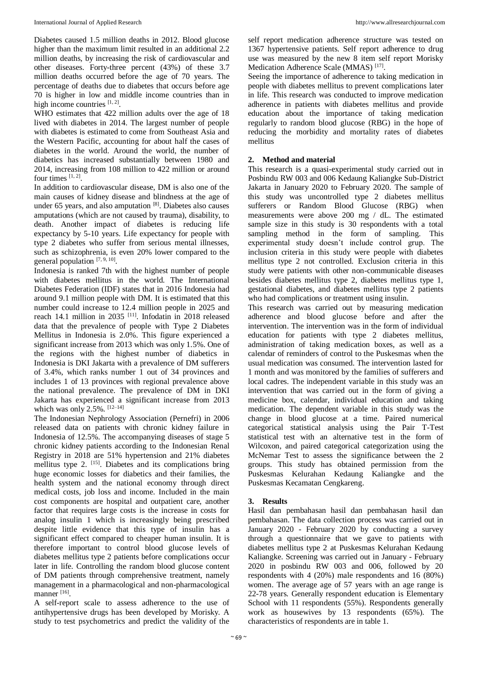Diabetes caused 1.5 million deaths in 2012. Blood glucose higher than the maximum limit resulted in an additional 2.2 million deaths, by increasing the risk of cardiovascular and other diseases. Forty-three percent (43%) of these 3.7 million deaths occurred before the age of 70 years. The percentage of deaths due to diabetes that occurs before age 70 is higher in low and middle income countries than in high income countries  $[1, 2]$ .

WHO estimates that 422 million adults over the age of 18 lived with diabetes in 2014. The largest number of people with diabetes is estimated to come from Southeast Asia and the Western Pacific, accounting for about half the cases of diabetes in the world. Around the world, the number of diabetics has increased substantially between 1980 and 2014, increasing from 108 million to 422 million or around four times  $[1, 2]$ .

In addition to cardiovascular disease, DM is also one of the main causes of kidney disease and blindness at the age of under 65 years, and also amputation  $[8]$ . Diabetes also causes amputations (which are not caused by trauma), disability, to death. Another impact of diabetes is reducing life expectancy by 5-10 years. Life expectancy for people with type 2 diabetes who suffer from serious mental illnesses, such as schizophrenia, is even 20% lower compared to the general population  $[7, 9, 10]$ .

Indonesia is ranked 7th with the highest number of people with diabetes mellitus in the world. The International Diabetes Federation (IDF) states that in 2016 Indonesia had around 9.1 million people with DM. It is estimated that this number could increase to 12.4 million people in 2025 and reach 14.1 million in 2035 [11] . Infodatin in 2018 released data that the prevalence of people with Type 2 Diabetes Mellitus in Indonesia is 2.0%. This figure experienced a significant increase from 2013 which was only 1.5%. One of the regions with the highest number of diabetics in Indonesia is DKI Jakarta with a prevalence of DM sufferers of 3.4%, which ranks number 1 out of 34 provinces and includes 1 of 13 provinces with regional prevalence above the national prevalence. The prevalence of DM in DKI Jakarta has experienced a significant increase from 2013 which was only 2.5%.  $[12-14]$ 

The Indonesian Nephrology Association (Pernefri) in 2006 released data on patients with chronic kidney failure in Indonesia of 12.5%. The accompanying diseases of stage 5 chronic kidney patients according to the Indonesian Renal Registry in 2018 are 51% hypertension and 21% diabetes mellitus type 2. <sup>[15]</sup>. Diabetes and its complications bring huge economic losses for diabetics and their families, the health system and the national economy through direct medical costs, job loss and income. Included in the main cost components are hospital and outpatient care, another factor that requires large costs is the increase in costs for analog insulin 1 which is increasingly being prescribed despite little evidence that this type of insulin has a significant effect compared to cheaper human insulin. It is therefore important to control blood glucose levels of diabetes mellitus type 2 patients before complications occur later in life. Controlling the random blood glucose content of DM patients through comprehensive treatment, namely management in a pharmacological and non-pharmacological manner [16].

A self-report scale to assess adherence to the use of antihypertensive drugs has been developed by Morisky. A study to test psychometrics and predict the validity of the self report medication adherence structure was tested on 1367 hypertensive patients. Self report adherence to drug use was measured by the new 8 item self report Morisky Medication Adherence Scale (MMAS)<sup>[17]</sup>.

Seeing the importance of adherence to taking medication in people with diabetes mellitus to prevent complications later in life. This research was conducted to improve medication adherence in patients with diabetes mellitus and provide education about the importance of taking medication regularly to random blood glucose (RBG) in the hope of reducing the morbidity and mortality rates of diabetes mellitus

# **2. Method and material**

This research is a quasi-experimental study carried out in Posbindu RW 003 and 006 Kedaung Kaliangke Sub-District Jakarta in January 2020 to February 2020. The sample of this study was uncontrolled type 2 diabetes mellitus sufferers or Random Blood Glucose (RBG) when measurements were above 200 mg / dL. The estimated sample size in this study is 30 respondents with a total sampling method in the form of sampling. This experimental study doesn't include control grup. The inclusion criteria in this study were people with diabetes mellitus type 2 not controlled. Exclusion criteria in this study were patients with other non-communicable diseases besides diabetes mellitus type 2, diabetes mellitus type 1, gestational diabetes, and diabetes mellitus type 2 patients who had complications or treatment using insulin.

This research was carried out by measuring medication adherence and blood glucose before and after the intervention. The intervention was in the form of individual education for patients with type 2 diabetes mellitus, administration of taking medication boxes, as well as a calendar of reminders of control to the Puskesmas when the usual medication was consumed. The intervention lasted for 1 month and was monitored by the families of sufferers and local cadres. The independent variable in this study was an intervention that was carried out in the form of giving a medicine box, calendar, individual education and taking medication. The dependent variable in this study was the change in blood glucose at a time. Paired numerical categorical statistical analysis using the Pair T-Test statistical test with an alternative test in the form of Wilcoxon, and paired categorical categorization using the McNemar Test to assess the significance between the 2 groups. This study has obtained permission from the Puskesmas Kelurahan Kedaung Kaliangke and the Puskesmas Kecamatan Cengkareng.

# **3. Results**

Hasil dan pembahasan hasil dan pembahasan hasil dan pembahasan. The data collection process was carried out in January 2020 - February 2020 by conducting a survey through a questionnaire that we gave to patients with diabetes mellitus type 2 at Puskesmas Kelurahan Kedaung Kaliangke. Screening was carried out in January - February 2020 in posbindu RW 003 and 006, followed by 20 respondents with 4 (20%) male respondents and 16 (80%) women. The average age of 57 years with an age range is 22-78 years. Generally respondent education is Elementary School with 11 respondents (55%). Respondents generally work as housewives by 13 respondents (65%). The characteristics of respondents are in table 1.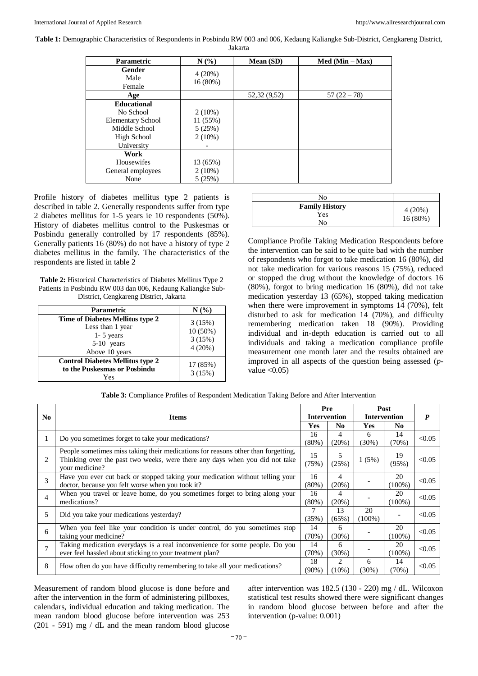**Table 1:** Demographic Characteristics of Respondents in Posbindu RW 003 and 006, Kedaung Kaliangke Sub-District, Cengkareng District,

Jakarta

| <b>Parametric</b>                                                                                         | N(%                                         | Mean (SD)    | $Med (Min - Max)$ |
|-----------------------------------------------------------------------------------------------------------|---------------------------------------------|--------------|-------------------|
| Gender<br>Male<br>Female                                                                                  | $4(20\%)$<br>16(80%)                        |              |                   |
| Age                                                                                                       |                                             | 52,32 (9,52) | $57(22-78)$       |
| <b>Educational</b><br>No School<br><b>Elementary School</b><br>Middle School<br>High School<br>University | $2(10\%)$<br>11(55%)<br>5(25%)<br>$2(10\%)$ |              |                   |
| Work<br>Housewifes<br>General employees<br>None                                                           | 13 (65%)<br>$2(10\%)$<br>5(25%)             |              |                   |

Profile history of diabetes mellitus type 2 patients is described in table 2. Generally respondents suffer from type 2 diabetes mellitus for 1-5 years ie 10 respondents (50%). History of diabetes mellitus control to the Puskesmas or Posbindu generally controlled by 17 respondents (85%). Generally patients 16 (80%) do not have a history of type 2 diabetes mellitus in the family. The characteristics of the respondents are listed in table 2

| <b>Table 2:</b> Historical Characteristics of Diabetes Mellitus Type 2 |
|------------------------------------------------------------------------|
| Patients in Posbindu RW 003 dan 006, Kedaung Kaliangke Sub-            |
| District, Cengkareng District, Jakarta                                 |

| <b>Parametric</b>                                                                                       | $N(\%)$                                  |
|---------------------------------------------------------------------------------------------------------|------------------------------------------|
| Time of Diabetes Mellitus type 2<br>Less than 1 year<br>$1 - 5$ years<br>$5-10$ years<br>Above 10 years | 3(15%)<br>$10(50\%)$<br>3(15%)<br>4(20%) |
| <b>Control Diabetes Mellitus type 2</b><br>to the Puskesmas or Posbindu<br>Yes                          | 17 (85%)<br>3(15%)                       |

| No                                 |                   |
|------------------------------------|-------------------|
| <b>Family History</b><br>Yes<br>No | 4(20%)<br>16(80%) |

Compliance Profile Taking Medication Respondents before the intervention can be said to be quite bad with the number of respondents who forgot to take medication 16 (80%), did not take medication for various reasons 15 (75%), reduced or stopped the drug without the knowledge of doctors 16 (80%), forgot to bring medication 16 (80%), did not take medication yesterday 13 (65%), stopped taking medication when there were improvement in symptoms 14 (70%), felt disturbed to ask for medication 14 (70%), and difficulty remembering medication taken 18 (90%). Providing individual and in-depth education is carried out to all individuals and taking a medication compliance profile measurement one month later and the results obtained are improved in all aspects of the question being assessed (*p*value  $< 0.05$ )

|  |  | Table 3: Compliance Profiles of Respondent Medication Taking Before and After Intervention |
|--|--|--------------------------------------------------------------------------------------------|
|--|--|--------------------------------------------------------------------------------------------|

|        |                                                                                   | Pre                 |          | Post                |           | P      |
|--------|-----------------------------------------------------------------------------------|---------------------|----------|---------------------|-----------|--------|
| No.    | <b>Items</b>                                                                      | <b>Intervention</b> |          | <b>Intervention</b> |           |        |
|        |                                                                                   | <b>Yes</b>          | No.      | <b>Yes</b>          | No.       |        |
|        |                                                                                   | 16                  | 4        | 6                   | 14        |        |
|        | Do you sometimes forget to take your medications?                                 | $(80\%)$            | (20%)    | $(30\%)$            | (70%)     | < 0.05 |
|        | People sometimes miss taking their medications for reasons other than forgetting, | 15                  | 5        |                     | 19        |        |
| 2      | Thinking over the past two weeks, were there any days when you did not take       | (75%)               | (25%)    | 1(5%)               | (95%)     | < 0.05 |
|        | vour medicine?                                                                    |                     |          |                     |           |        |
| 3      | Have you ever cut back or stopped taking your medication without telling your     | 16                  | 4        |                     | 20        | < 0.05 |
|        | doctor, because you felt worse when you took it?                                  | $(80\%)$            | (20%)    |                     | $(100\%)$ |        |
|        | When you travel or leave home, do you sometimes forget to bring along your        | 16                  | 4        |                     | 20        | < 0.05 |
| 4      | medications?                                                                      |                     | (20%)    |                     | $(100\%)$ |        |
|        |                                                                                   | 7                   | 13       | 20                  |           | < 0.05 |
| 5      | Did you take your medications yesterday?                                          |                     | $(65\%)$ | $(100\%)$           |           |        |
| 6      | When you feel like your condition is under control, do you sometimes stop         | 14                  | 6        |                     | 20        | < 0.05 |
|        | taking your medicine?                                                             | (70%)               | $(30\%)$ |                     | $100\%$ ) |        |
| $\tau$ | Taking medication everydays is a real inconvenience for some people. Do you       | 14                  | 6        |                     | 20        | < 0.05 |
|        | ever feel hassled about sticking to your treatment plan?                          | (70%)               | (30%)    |                     | $(100\%)$ |        |
|        |                                                                                   | 18                  | 2        | 6                   | 14        |        |
| 8      | How often do you have difficulty remembering to take all your medications?        | $(90\%)$            | $(10\%)$ | (30%)               | (70%)     | < 0.05 |

Measurement of random blood glucose is done before and after the intervention in the form of administering pillboxes, calendars, individual education and taking medication. The mean random blood glucose before intervention was 253 (201 - 591) mg / dL and the mean random blood glucose

after intervention was 182.5 (130 - 220) mg / dL. Wilcoxon statistical test results showed there were significant changes in random blood glucose between before and after the intervention (p-value: 0.001)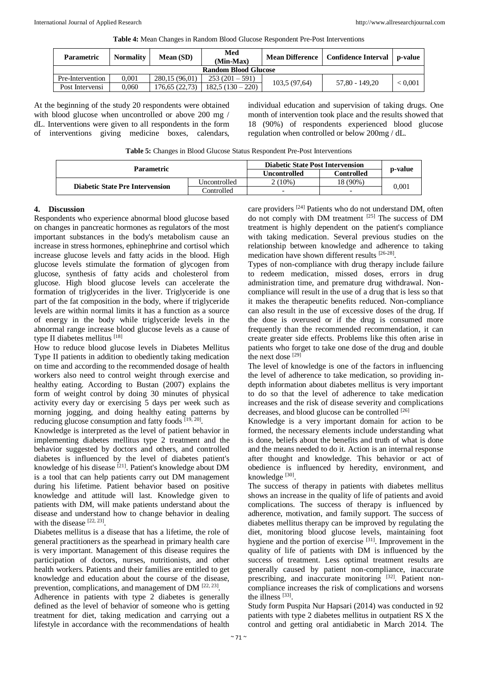|  | Table 4: Mean Changes in Random Blood Glucose Respondent Pre-Post Interventions |  |  |
|--|---------------------------------------------------------------------------------|--|--|

| <b>Parametric</b>           | <b>Normality</b> | <b>Mean</b> (SD) | Med<br>(Min-Max) | <b>Mean Difference</b> | <b>Confidence Interval</b> | p-value        |  |
|-----------------------------|------------------|------------------|------------------|------------------------|----------------------------|----------------|--|
| <b>Random Blood Glucose</b> |                  |                  |                  |                        |                            |                |  |
| Pre-Intervention            | 0.001            | 280.15 (96.01)   | $253(201-591)$   |                        | 57.80 - 149.20             | ${}_{< 0.001}$ |  |
| Post Intervensi             | 0.060            | 176.65 (22.73)   | $182.5(130-220)$ | 103.5 (97.64)          |                            |                |  |

At the beginning of the study 20 respondents were obtained with blood glucose when uncontrolled or above 200 mg / dL. Interventions were given to all respondents in the form of interventions giving medicine boxes, calendars,

individual education and supervision of taking drugs. One month of intervention took place and the results showed that 18 (90%) of respondents experienced blood glucose regulation when controlled or below 200mg / dL.

**Table 5:** Changes in Blood Glucose Status Respondent Pre-Post Interventions

| <b>Parametric</b>                      | <b>Diabetic State Post Intervension</b> |                          |                          |         |  |
|----------------------------------------|-----------------------------------------|--------------------------|--------------------------|---------|--|
|                                        |                                         | Uncontrolled             | Controlled               | p-value |  |
| <b>Diabetic State Pre Intervension</b> | Uncontrolled                            | $2(10\%)$                | 18 (90%)                 |         |  |
|                                        | Controlled                              | $\overline{\phantom{0}}$ | $\overline{\phantom{0}}$ | 0.001   |  |

# **4. Discussion**

Respondents who experience abnormal blood glucose based on changes in pancreatic hormones as regulators of the most important substances in the body's metabolism cause an increase in stress hormones, ephinephrine and cortisol which increase glucose levels and fatty acids in the blood. High glucose levels stimulate the formation of glycogen from glucose, synthesis of fatty acids and cholesterol from glucose. High blood glucose levels can accelerate the formation of triglycerides in the liver. Triglyceride is one part of the fat composition in the body, where if triglyceride levels are within normal limits it has a function as a source of energy in the body while triglyceride levels in the abnormal range increase blood glucose levels as a cause of type II diabetes mellitus [18]

How to reduce blood glucose levels in Diabetes Mellitus Type II patients in addition to obediently taking medication on time and according to the recommended dosage of health workers also need to control weight through exercise and healthy eating. According to Bustan (2007) explains the form of weight control by doing 30 minutes of physical activity every day or exercising 5 days per week such as morning jogging, and doing healthy eating patterns by reducing glucose consumption and fatty foods [19, 20].

Knowledge is interpreted as the level of patient behavior in implementing diabetes mellitus type 2 treatment and the behavior suggested by doctors and others, and controlled diabetes is influenced by the level of diabetes patient's knowledge of his disease [21]. Patient's knowledge about DM is a tool that can help patients carry out DM management during his lifetime. Patient behavior based on positive knowledge and attitude will last. Knowledge given to patients with DM, will make patients understand about the disease and understand how to change behavior in dealing with the disease  $[22, 23]$ .

Diabetes mellitus is a disease that has a lifetime, the role of general practitioners as the spearhead in primary health care is very important. Management of this disease requires the participation of doctors, nurses, nutritionists, and other health workers. Patients and their families are entitled to get knowledge and education about the course of the disease, prevention, complications, and management of DM  $[22, 23]$ .

Adherence in patients with type 2 diabetes is generally defined as the level of behavior of someone who is getting treatment for diet, taking medication and carrying out a lifestyle in accordance with the recommendations of health

care providers <sup>[24]</sup> Patients who do not understand DM, often do not comply with DM treatment  $^{[25]}$  The success of DM treatment is highly dependent on the patient's compliance with taking medication. Several previous studies on the relationship between knowledge and adherence to taking medication have shown different results [26-28].

Types of non-compliance with drug therapy include failure to redeem medication, missed doses, errors in drug administration time, and premature drug withdrawal. Noncompliance will result in the use of a drug that is less so that it makes the therapeutic benefits reduced. Non-compliance can also result in the use of excessive doses of the drug. If the dose is overused or if the drug is consumed more frequently than the recommended recommendation, it can create greater side effects. Problems like this often arise in patients who forget to take one dose of the drug and double the next dose  $[29]$ 

The level of knowledge is one of the factors in influencing the level of adherence to take medication, so providing indepth information about diabetes mellitus is very important to do so that the level of adherence to take medication increases and the risk of disease severity and complications decreases, and blood glucose can be controlled [26]

Knowledge is a very important domain for action to be formed, the necessary elements include understanding what is done, beliefs about the benefits and truth of what is done and the means needed to do it. Action is an internal response after thought and knowledge. This behavior or act of obedience is influenced by heredity, environment, and knowledge [30].

The success of therapy in patients with diabetes mellitus shows an increase in the quality of life of patients and avoid complications. The success of therapy is influenced by adherence, motivation, and family support. The success of diabetes mellitus therapy can be improved by regulating the diet, monitoring blood glucose levels, maintaining foot hygiene and the portion of exercise <sup>[31]</sup>. Improvement in the quality of life of patients with DM is influenced by the success of treatment. Less optimal treatment results are generally caused by patient non-compliance, inaccurate prescribing, and inaccurate monitoring [32]. Patient noncompliance increases the risk of complications and worsens the illness [33].

Study form Puspita Nur Hapsari (2014) was conducted in 92 patients with type 2 diabetes mellitus in outpatient RS X the control and getting oral antidiabetic in March 2014. The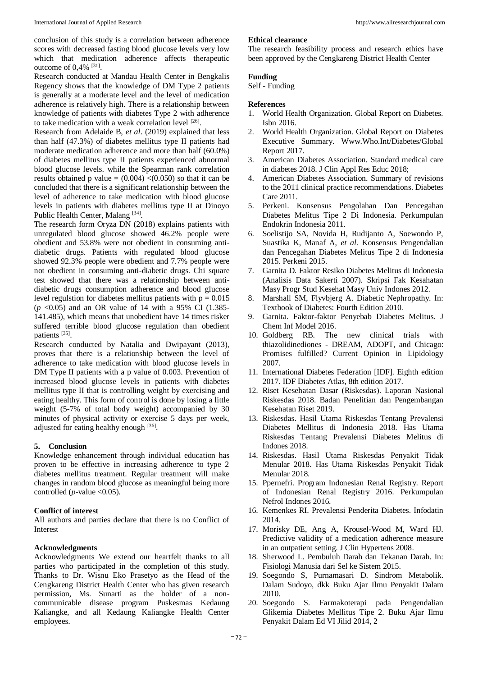conclusion of this study is a correlation between adherence scores with decreased fasting blood glucose levels very low which that medication adherence affects therapeutic outcome of 0,4% <sup>[31]</sup>.

Research conducted at Mandau Health Center in Bengkalis Regency shows that the knowledge of DM Type 2 patients is generally at a moderate level and the level of medication adherence is relatively high. There is a relationship between knowledge of patients with diabetes Type 2 with adherence to take medication with a weak correlation level [26].

Research from Adelaide B, *et al*. (2019) explained that less than half (47.3%) of diabetes mellitus type II patients had moderate medication adherence and more than half (60.0%) of diabetes mellitus type II patients experienced abnormal blood glucose levels. while the Spearman rank correlation results obtained p value  $= (0.004)$   $\lt (0.050)$  so that it can be concluded that there is a significant relationship between the level of adherence to take medication with blood glucose levels in patients with diabetes mellitus type II at Dinoyo Public Health Center, Malang<sup>[34]</sup>.

The research form Oryza DN (2018) explains patients with unregulated blood glucose showed 46.2% people were obedient and 53.8% were not obedient in consuming antidiabetic drugs. Patients with regulated blood glucose showed 92.3% people were obedient and 7.7% people were not obedient in consuming anti-diabetic drugs. Chi square test showed that there was a relationship between antidiabetic drugs consumption adherence and blood glucose level regulstion for diabetes mellitus patients with  $p = 0.015$  $(p \le 0.05)$  and an OR value of 14 with a 95% CI (1.385-141.485), which means that unobedient have 14 times risker suffered terrible blood glucose regulation than obedient patients [35].

Research conducted by Natalia and Dwipayant (2013), proves that there is a relationship between the level of adherence to take medication with blood glucose levels in DM Type II patients with a p value of 0.003. Prevention of increased blood glucose levels in patients with diabetes mellitus type II that is controlling weight by exercising and eating healthy. This form of control is done by losing a little weight (5-7% of total body weight) accompanied by 30 minutes of physical activity or exercise 5 days per week, adjusted for eating healthy enough [36].

#### **5. Conclusion**

Knowledge enhancement through individual education has proven to be effective in increasing adherence to type 2 diabetes mellitus treatment. Regular treatment will make changes in random blood glucose as meaningful being more controlled ( $p$ -value <0.05).

#### **Conflict of interest**

All authors and parties declare that there is no Conflict of Interest

# **Acknowledgments**

Acknowledgments We extend our heartfelt thanks to all parties who participated in the completion of this study. Thanks to Dr. Wisnu Eko Prasetyo as the Head of the Cengkareng District Health Center who has given research permission, Ms. Sunarti as the holder of a noncommunicable disease program Puskesmas Kedaung Kaliangke, and all Kedaung Kaliangke Health Center employees.

#### **Ethical clearance**

The research feasibility process and research ethics have been approved by the Cengkareng District Health Center

### **Funding**

Self - Funding

#### **References**

- 1. World Health Organization. Global Report on Diabetes. Isbn 2016.
- 2. World Health Organization. Global Report on Diabetes Executive Summary. Www.Who.Int/Diabetes/Global Report 2017.
- 3. American Diabetes Association. Standard medical care in diabetes 2018. J Clin Appl Res Educ 2018;
- 4. American Diabetes Association. Summary of revisions to the 2011 clinical practice recommendations. Diabetes Care 2011.
- 5. Perkeni. Konsensus Pengolahan Dan Pencegahan Diabetes Melitus Tipe 2 Di Indonesia. Perkumpulan Endokrin Indonesia 2011.
- 6. Soelistijo SA, Novida H, Rudijanto A, Soewondo P, Suastika K, Manaf A, *et al*. Konsensus Pengendalian dan Pencegahan Diabetes Melitus Tipe 2 di Indonesia 2015. Perkeni 2015.
- 7. Garnita D. Faktor Resiko Diabetes Melitus di Indonesia (Analisis Data Sakerti 2007). Skripsi Fak Kesahatan Masy Progr Stud Kesehat Masy Univ Indones 2012.
- 8. Marshall SM, Flyvbjerg A. Diabetic Nephropathy. In: Textbook of Diabetes: Fourth Edition 2010.
- 9. Garnita. Faktor-faktor Penyebab Diabetes Melitus. J Chem Inf Model 2016.
- 10. Goldberg RB. The new clinical trials with thiazolidinediones - DREAM, ADOPT, and Chicago: Promises fulfilled? Current Opinion in Lipidology 2007.
- 11. International Diabetes Federation [IDF]. Eighth edition 2017. IDF Diabetes Atlas, 8th edition 2017.
- 12. Riset Kesehatan Dasar (Riskesdas). Laporan Nasional Riskesdas 2018. Badan Penelitian dan Pengembangan Kesehatan Riset 2019.
- 13. Riskesdas. Hasil Utama Riskesdas Tentang Prevalensi Diabetes Mellitus di Indonesia 2018. Has Utama Riskesdas Tentang Prevalensi Diabetes Melitus di Indones 2018.
- 14. Riskesdas. Hasil Utama Riskesdas Penyakit Tidak Menular 2018. Has Utama Riskesdas Penyakit Tidak Menular 2018.
- 15. Ppernefri. Program Indonesian Renal Registry. Report of Indonesian Renal Registry 2016. Perkumpulan Nefrol Indones 2016.
- 16. Kemenkes RI. Prevalensi Penderita Diabetes. Infodatin 2014.
- 17. Morisky DE, Ang A, Krousel-Wood M, Ward HJ. Predictive validity of a medication adherence measure in an outpatient setting. J Clin Hypertens 2008.
- 18. Sherwood L. Pembuluh Darah dan Tekanan Darah. In: Fisiologi Manusia dari Sel ke Sistem 2015.
- 19. Soegondo S, Purnamasari D. Sindrom Metabolik. Dalam Sudoyo, dkk Buku Ajar Ilmu Penyakit Dalam 2010.
- 20. Soegondo S. Farmakoterapi pada Pengendalian Glikemia Diabetes Mellitus Tipe 2. Buku Ajar Ilmu Penyakit Dalam Ed VI Jilid 2014, 2